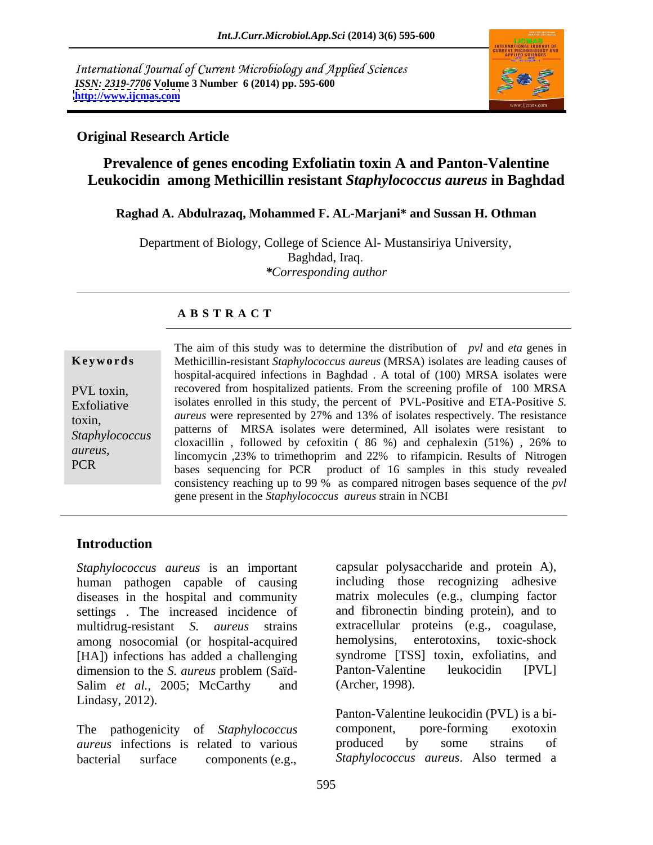International Journal of Current Microbiology and Applied Sciences *ISSN: 2319-7706* **Volume 3 Number 6 (2014) pp. 595-600 <http://www.ijcmas.com>**



## **Original Research Article**

# **Prevalence of genes encoding Exfoliatin toxin A and Panton-Valentine Leukocidin among Methicillin resistant** *Staphylococcus aureus* **in Baghdad**

## **Raghad A. Abdulrazaq, Mohammed F. AL-Marjani\* and Sussan H. Othman**

Department of Biology, College of Science Al- Mustansiriya University, Baghdad, Iraq *\*Corresponding author*

## **A B S T R A C T**

**Ke ywo rds** Methicillin-resistant *Staphylococcus aureus* (MRSA) isolates are leading causes of PVL toxin, recovered from hospitalized patients. From the screening profile of 100 MRSA Exfoliative isolates enrolled in this study, the percent of PVL-Positive and ETA-Positive *S*. toxin, *aureus* were represented by 27% and 13% of isolates respectively. The resistance Staphylococcus<br>
cloxacillin, followed by cefoxitin ( 86 %) and cephalexin ( 51%), 26% to *aureus*, lincomycin ,23% to trimethoprim and 22% to rifampicin. Results of Nitrogen PCR<br>bases sequencing for PCR product of 16 samples in this study revealed The aim of this study was to determine the distribution of *pvl* and *eta* genes in hospital-acquired infections in Baghdad . A total of (100) MRSA isolates were patterns of MRSA isolates were determined, All isolates were resistant to consistency reaching up to 99 % as compared nitrogen bases sequence of the *pvl* gene present in the *Staphylococcus aureus* strain in NCBI

# **Introduction**

*Staphylococcus aureus* is an important human pathogen capable of causing diseases in the hospital and community settings . The increased incidence of and fibronectin binding protein), and to multidrug-resistant *S. aureus* strains extracellular proteins (e.g., coagulase, among nosocomial (or hospital-acquired hemolysins, [HA]) infections has added a challenging syndrome [TSS]<br>dimension to the S. *aureus* problem (Saïd-<br>Panton-Valentine dimension to the *S. aureus* problem (Saïd-<br>
Panton-Valentine leukocidin [PVL] Salim *et al.*, 2005; McCarthy and (Archer, 1998). Lindasy, 2012).

*aureus* infections is related to various produced by some strains of bacterial surface components (e.g., *Staphylococcus aureus*. Also termed a

capsular polysaccharide and protein A), including those recognizing adhesive matrix molecules (e.g., clumping factor enterotoxins, toxic-shock syndrome [TSS] toxin, exfoliatins, and Panton-Valentine leukocidin [PVL] (Archer, 1998).

The pathogenicity of *Staphylococcus* Panton-Valentine leukocidin (PVL) is a bi component, pore-forming exotoxin produced by some strains of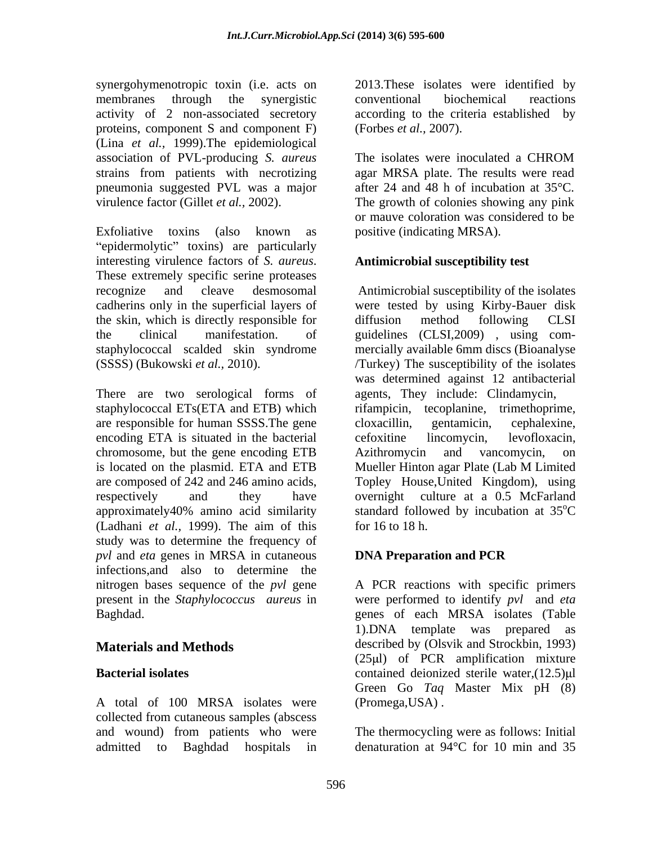synergohymenotropic toxin (i.e. acts on membranes through the synergistic activity of 2 non-associated secretory according to the criteria established by proteins, component S and component F) (Lina *et al.,* 1999).The epidemiological association of PVL-producing *S. aureus* strains from patients with necrotizing pneumonia suggested PVL was a major virulence factor (Gillet *et al.,* 2002). The growth of colonies showing any pink

Exfoliative toxins (also known as positive (indicating MRSA). "epidermolytic" toxins) are particularly interesting virulence factors of *S. aureus*. **Antimicrobial susceptibility test**<br>These extremely specific serine proteases recognize and cleave desmosomal Antimicrobial susceptibility of the isolates cadherins only in the superficial layers of were tested by using Kirby-Bauer disk the skin, which is directly responsible for diffusion method following CLSI the clinical manifestation. of guidelines (CLSI,2009) , using com staphylococcal scalded skin syndrome mercially available 6mm discs (Bioanalyse

There are two serological forms of agents, They include: Clindamycin, staphylococcal ETs(ETA and ETB) which rifampicin, tecoplanine, trimethoprime, are responsible for human SSSS. The gene cloxacillin, gentamicin, cephalexine, encoding ETA is situated in the bacterial effortune encoding the experiment of the bacterial effortune incomposition. chromosome, but the gene encoding ETB Azithromycin and vancomycin, on is located on the plasmid. ETA and ETB Mueller Hinton agar Plate (Lab M Limited are composed of 242 and 246 amino acids, Topley House,United Kingdom), using respectively and they have overnight culture at a 0.5 McFarland approximately40% amino acid similarity standard followed by incubation at 35<sup>o</sup>C (Ladhani *et al.,* 1999). The aim of this study was to determine the frequency of *pvl* and *eta* genes in MRSA in cutaneous **DNA Preparation and PCR** infections,and also to determine the nitrogen bases sequence of the *pvl* gene A PCR reactions with specific primers present in the *Staphylococcus aureus* in were performed to identify *pvl* and *eta*

A total of 100 MRSA isolates were (Promega, USA). collected from cutaneous samples (abscess and wound) from patients who were

2013.These isolates were identified by conventional biochemical reactions (Forbes *et al.,* 2007).

The isolates were inoculated a CHROM agar MRSA plate. The results were read after 24 and 48 h of incubation at 35°C. or mauve coloration was considered to be

## **Antimicrobial susceptibility test**

(SSSS) (Bukowski *et al.,* 2010). /Turkey) The susceptibility of the isolates diffusion method following CLSI was determined against 12 antibacterial agents, They include: Clindamycin, rifampicin, tecoplanine, trimethoprime, cloxacillin, gentamicin, cephalexine, cefoxitine lincomycin, levofloxacin, Azithromycin and vancomycin, on Mueller Hinton agar Plate (Lab M Limited standard followed by incubation at 35<sup>o</sup>C<br>for 16 to 18 h.

# **DNA Preparation and PCR**

Baghdad. genes of each MRSA isolates (Table **Materials and Methods** described by (Olsvik and Strockbin, 1993) **Bacterial isolates** contained deionized sterile water,(12.5)µl A PCR reactions with specific primers 1).DNA template was prepared as  $(25 \mu l)$  of PCR amplification mixture Green Go *Taq* Master Mix pH (8) (Promega,USA) .

admitted to Baghdad hospitals in denaturation at 94°C for 10 min and 35The thermocycling were as follows: Initial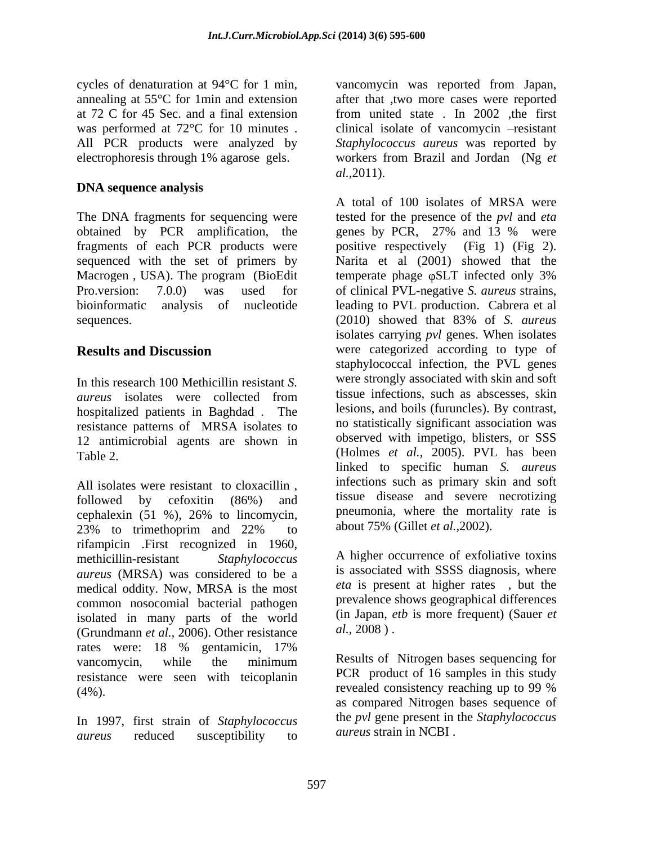at 72 C for 45 Sec. and a final extension from united state. In 2002, the first

## **DNA sequence analysis**

The DNA fragments for sequencing were sequenced with the set of primers by sequences. (2010) showed that 83% of S. *aureus* 

In this research 100 Methicillin resistant *S.*  hospitalized patients in Baghdad . The resistance patterns of MRSA isolates to 12 antimicrobial agents are shown in

All isolates were resistant to cloxacillin , 23% to trimethoprim and 22% to about  $75\%$  (Gillet *et al.*, 2002). rifampicin .First recognized in 1960, methicillin-resistant *Staphylococcus* A higher occurrence of exfoliative toxins *aureus* (MRSA) was considered to be a medical oddity. Now, MRSA is the most common nosocomial bacterial pathogen isolated in many parts of the world  $\frac{\text{(in Japan, }e}{\text{(Grundmann, }et al. 2006)}$  Other resistance  $\frac{al. 2008}{\text{(in Japan, }et al. 2008)}$ . (Grundmann *et al.,* 2006). Other resistance rates were: 18 % gentamicin, 17% vancomycin, while the minimum Results of Nitrogen bases sequencing for resistance were seen with teicoplanin (4%). revealed consistency reaching up to 99 %

In 1997, first strain of *Staphylococcus aureus* reduced susceptibility to

cycles of denaturation at 94°C for 1 min, vancomycin was reported from Japan, annealing at 55°C for 1min and extension after that ,two more cases were reported was performed at  $72^{\circ}$ C for 10 minutes . clinical isolate of vancomycin  $-$ resistant All PCR products were analyzed by *Staphylococcus aureus* was reported by electrophoresis through 1% agarose gels. workers from Brazil and Jordan (Ng *et*  from united state . In 2002 ,the first *al.,*2011).

obtained by PCR amplification, the genes by PCR, 27% and 13 % were fragments of each PCR products were positive respectively (Fig 1) (Fig 2). Macrogen, USA). The program (BioEdit temperate phage  $\varphi$ SLT infected only 3% Pro.version: 7.0.0) was used for of clinical PVL-negative *S. aureus* strains, bioinformatic analysis of nucleotide leading to PVL production. Cabrera et al **Results and Discussion** were categorized according to type of *aureus* isolates were collected from tissue infections, such as abscesses, skin Table 2. (Holmes *et al.,* 2005). PVL has been followed by cefoxitin (86%) and tissue disease and severe necrotizing cephalexin (51 %), 26% to lincomycin, A total of 100 isolates of MRSA were tested for the presence of the *pvl* and *eta* Narita et al (2001) showed that the (2010) showed that 83% of *S. aureus* isolates carrying *pvl* genes. When isolates staphylococcal infection, the PVL genes were strongly associated with skin and soft tissue infections, such as abscesses, skin lesions, and boils (furuncles). By contrast, no statistically significant association was observed with impetigo, blisters, or SSS linked to specific human *S. aureus* infections such as primary skin and soft pneumonia, where the mortality rate is about 75% (Gillet *et al.,*2002).

> is associated with SSSS diagnosis, where *eta* is present at higher rates , but the prevalence shows geographical differences (in Japan, *etb* is more frequent) (Sauer*et al.,* 2008 ) .

Results of Nitrogen bases sequencing for PCR product of 16 samples in this study as compared Nitrogen bases sequence of the *pvl* gene present in the *Staphylococcus aureus* strain in NCBI .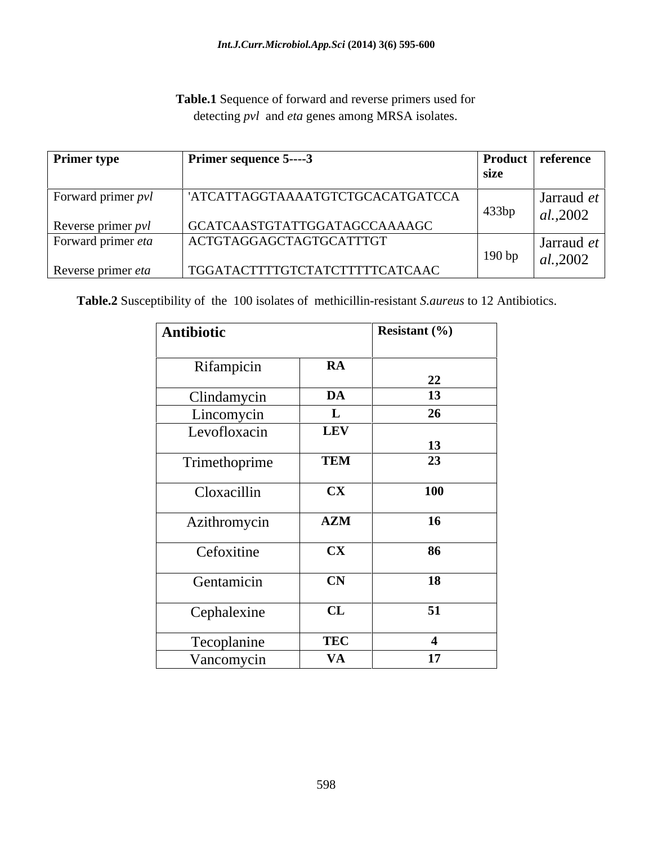**Table.1** Sequence of forward and reverse primers used for detecting *pvl* and *eta* genes among MRSA isolates.

| <b>Primer type</b>        | $\vert$ Primer sequence 5----3   | size  | Product reference |
|---------------------------|----------------------------------|-------|-------------------|
| Forward primer <i>pvl</i> | 'ATCATTAGGTAAAATGTCTGCACATGATCCA |       | Jarraud <i>et</i> |
|                           |                                  | 433bp | $ $ al., 2002     |
| Reverse primer pvl        | GCATCAASTGTATTGGATAGCCAAAAGC     |       |                   |
| Forward primer eta        | ACTGTAGGAGCTAGTGCATTTGT          |       | Jarraud <i>et</i> |
| Reverse primer eta        | TGGATACTTTTGTCTATCTTTTTCATCAAC   | 190bp | $ $ al., 2002     |

**Table.2** Susceptibility of the 100 isolates of methicillin-resistant *S.aureus* to 12 Antibiotics.

| Antibiotic    |                        | Resistant $(\% )$ |
|---------------|------------------------|-------------------|
|               |                        |                   |
| Rifampicin    | $\mathbf{RA}$          | 22                |
| Clindamycin   | DA                     | 13                |
| Lincomycin    | $\mathbf{L}$           | 26                |
| Levofloxacin  | <b>LEV</b>             |                   |
|               |                        | 13                |
| Trimethoprime | <b>TEM</b>             | 23                |
| Cloxacillin   | $\mathbf{C}\mathbf{X}$ | <b>100</b>        |
| Azithromycin  | $\mathbf{AZM}$         | <b>16</b>         |
| Cefoxitine    | $\mathbf{C}\mathbf{X}$ | 86                |
|               |                        |                   |
| Gentamicin    | $\mathbf{CN}$          | 18                |
|               |                        |                   |
| Cephalexine   | $\mathbf{CL}$          | 51                |
| Tecoplanine   | <b>TEC</b>             |                   |
| Vancomycin    | <b>VA</b>              | 17                |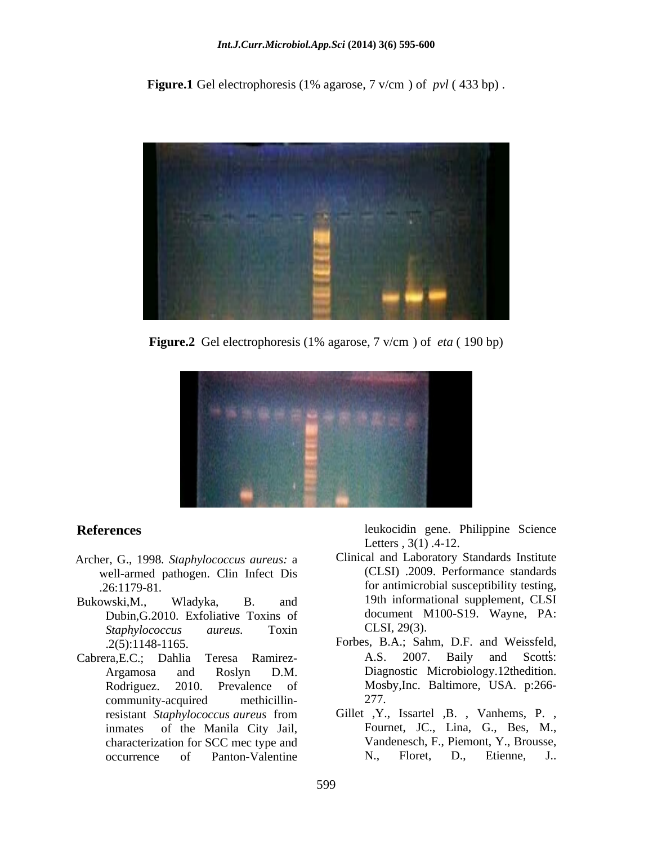**Figure.1** Gel electrophoresis (1% agarose, 7 v/cm ) of *pvl* ( 433 bp) .



**Figure.2** Gel electrophoresis (1% agarose, 7 v/cm ) of *eta* ( 190 bp)



- Archer, G., 1998*. Staphylococcus aureus:* a well-armed pathogen. Clin Infect Dis
- Bukowski,M., Wladyka, B. and 19th informational supplement, CLSI Dubin, G.2010. Exfoliative Toxins of document N<br>Staphylococcus aureus. Toxin CLSI, 29(3). *Staphylococcus aureus.* Toxin
- Cabrera,E.C.; Dahlia Teresa Ramirez community-acquired methicillincharacterization for SCC mec type and

**References** leukocidin gene. Philippine Science Letters , 3(1) .4-12.

- .26:1179-81*.* for antimicrobial susceptibility testing, Clinical and Laboratory Standards Institute (CLSI) .2009. Performance standards 19th informational supplement, CLSI document M100-S19. Wayne, PA: CLSI, 29(3).
- .2(5):1148-1165. Forbes, B.A.; Sahm, D.F. and Weissfeld, Argamosa and Roslyn D.M. Diagnostic Microbiology.12thedition. Rodriguez. 2010. Prevalence of Mosby,Inc. Baltimore, USA. p:266- A.S. 2007. Baily and Scotts: 277.
- resistant *Staphylococcus aureus* from Gillet ,Y., Issartel ,B. , Vanhems, P. , inmates of the Manila City Jail, Fournet, JC., Lina, G., Bes, M., occurrence of Panton-Valentine N., Floret, D., Etienne, J.. Vandenesch, F., Piemont, Y., Brousse, N., Floret, D., Etienne, J..